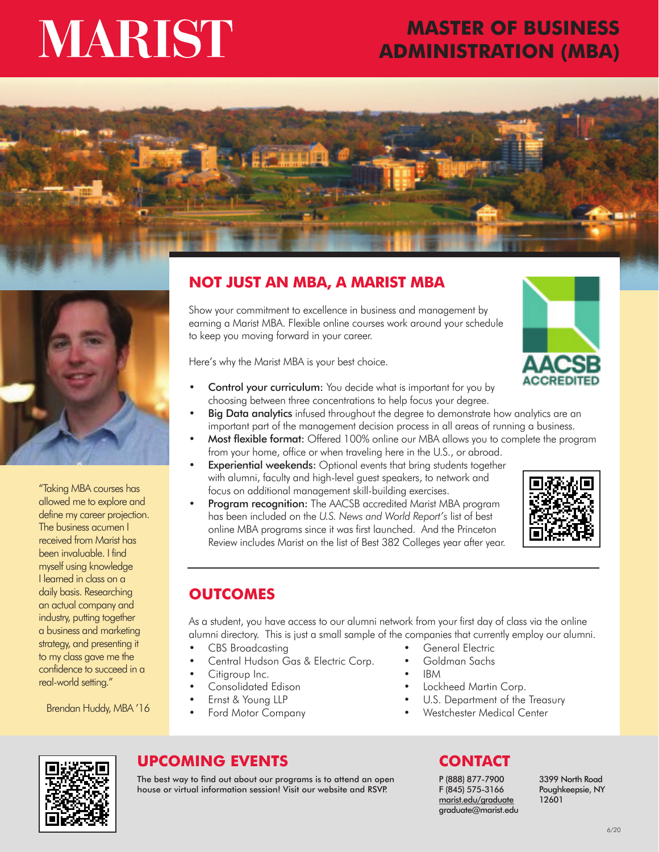# MARIST

# **MASTER OF BUSINESS ADMINISTRATION (MBA)**





"Taking MBA courses has allowed me to explore and define my career projection. The business acumen I received from Marist has been invaluable. I find myself using knowledge I learned in class on a daily basis. Researching an actual company and industry, putting together a business and marketing strategy, and presenting it to my class gave me the confidence to succeed in a real-world setting."

Brendan Huddy, MBA '16

# **NOT JUST AN MBA, A MARIST MBA**

Show your commitment to excellence in business and management by earning a Marist MBA. Flexible online courses work around your schedule to keep you moving forward in your career.

Here's why the Marist MBA is your best choice.



- Control your curriculum: You decide what is important for you by choosing between three concentrations to help focus your degree.
- Big Data analytics infused throughout the degree to demonstrate how analytics are an important part of the management decision process in all areas of running a business.
- Most flexible format: Offered 100% online our MBA allows you to complete the program from your home, office or when traveling here in the U.S., or abroad.
- **Experiential weekends:** Optional events that bring students together with alumni, faculty and high-level guest speakers, to network and focus on additional management skill-building exercises.
- Program recognition: The AACSB accredited Marist MBA program has been included on the *U.S. News and World Report's* list of best online MBA programs since it was first launched. And the Princeton Review includes Marist on the list of Best 382 Colleges year after year.



# **OUTCOMES**

As a student, you have access to our alumni network from your first day of class via the online alumni directory. This is just a small sample of the companies that currently employ our alumni.

- CBS Broadcasting
- Central Hudson Gas & Electric Corp.
- Citigroup Inc.
- Consolidated Edison
- Ernst & Young LLP
- Ford Motor Company
- General Flectric
- Goldman Sachs
- IBM
- Lockheed Martin Corp.
- U.S. Department of the Treasury
- Westchester Medical Center



# **UPCOMING EVENTS CONTACT**

The best way to find out about our programs is to attend an open house or virtual information session! Visit our website and RSVP.

P (888) 877-7900 F (845) 575-3166 marist.edu/graduate graduate@marist.edu 3399 North Road Poughkeepsie, NY 12601